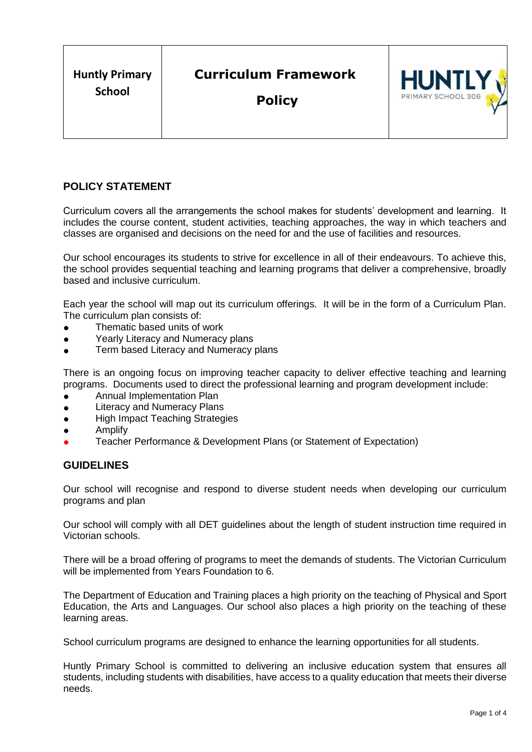# **POLICY STATEMENT**

Curriculum covers all the arrangements the school makes for students' development and learning. It includes the course content, student activities, teaching approaches, the way in which teachers and classes are organised and decisions on the need for and the use of facilities and resources.

Our school encourages its students to strive for excellence in all of their endeavours. To achieve this, the school provides sequential teaching and learning programs that deliver a comprehensive, broadly based and inclusive curriculum.

Each year the school will map out its curriculum offerings. It will be in the form of a Curriculum Plan. The curriculum plan consists of:

- Thematic based units of work
- Yearly Literacy and Numeracy plans
- Term based Literacy and Numeracy plans

There is an ongoing focus on improving teacher capacity to deliver effective teaching and learning programs. Documents used to direct the professional learning and program development include:

- **•** Annual Implementation Plan
- Literacy and Numeracy Plans
- High Impact Teaching Strategies
- **Amplify**
- Teacher Performance & Development Plans (or Statement of Expectation)

# **GUIDELINES**

Our school will recognise and respond to diverse student needs when developing our curriculum programs and plan

Our school will comply with all DET guidelines about the length of student instruction time required in Victorian schools.

There will be a broad offering of programs to meet the demands of students. The Victorian Curriculum will be implemented from Years Foundation to 6.

The Department of Education and Training places a high priority on the teaching of Physical and Sport Education, the Arts and Languages. Our school also places a high priority on the teaching of these learning areas.

School curriculum programs are designed to enhance the learning opportunities for all students.

Huntly Primary School is committed to delivering an inclusive education system that ensures all students, including students with disabilities, have access to a quality education that meets their diverse needs.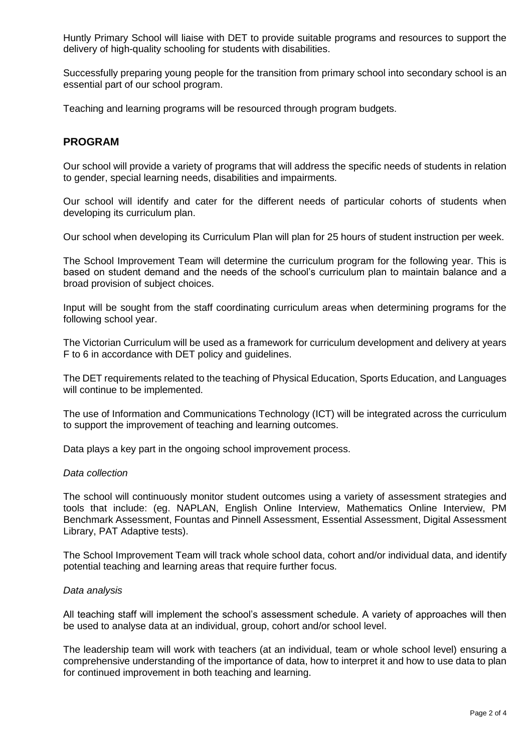Huntly Primary School will liaise with DET to provide suitable programs and resources to support the delivery of high-quality schooling for students with disabilities.

Successfully preparing young people for the transition from primary school into secondary school is an essential part of our school program.

Teaching and learning programs will be resourced through program budgets.

# **PROGRAM**

Our school will provide a variety of programs that will address the specific needs of students in relation to gender, special learning needs, disabilities and impairments.

Our school will identify and cater for the different needs of particular cohorts of students when developing its curriculum plan.

Our school when developing its Curriculum Plan will plan for 25 hours of student instruction per week.

The School Improvement Team will determine the curriculum program for the following year. This is based on student demand and the needs of the school's curriculum plan to maintain balance and a broad provision of subject choices.

Input will be sought from the staff coordinating curriculum areas when determining programs for the following school year.

The Victorian Curriculum will be used as a framework for curriculum development and delivery at years F to 6 in accordance with DET policy and guidelines.

The DET requirements related to the teaching of Physical Education, Sports Education, and Languages will continue to be implemented.

The use of Information and Communications Technology (ICT) will be integrated across the curriculum to support the improvement of teaching and learning outcomes.

Data plays a key part in the ongoing school improvement process.

#### *Data collection*

The school will continuously monitor student outcomes using a variety of assessment strategies and tools that include: (eg. NAPLAN, English Online Interview, Mathematics Online Interview, PM Benchmark Assessment, Fountas and Pinnell Assessment, Essential Assessment, Digital Assessment Library, PAT Adaptive tests).

The School Improvement Team will track whole school data, cohort and/or individual data, and identify potential teaching and learning areas that require further focus.

#### *Data analysis*

All teaching staff will implement the school's assessment schedule. A variety of approaches will then be used to analyse data at an individual, group, cohort and/or school level.

The leadership team will work with teachers (at an individual, team or whole school level) ensuring a comprehensive understanding of the importance of data, how to interpret it and how to use data to plan for continued improvement in both teaching and learning.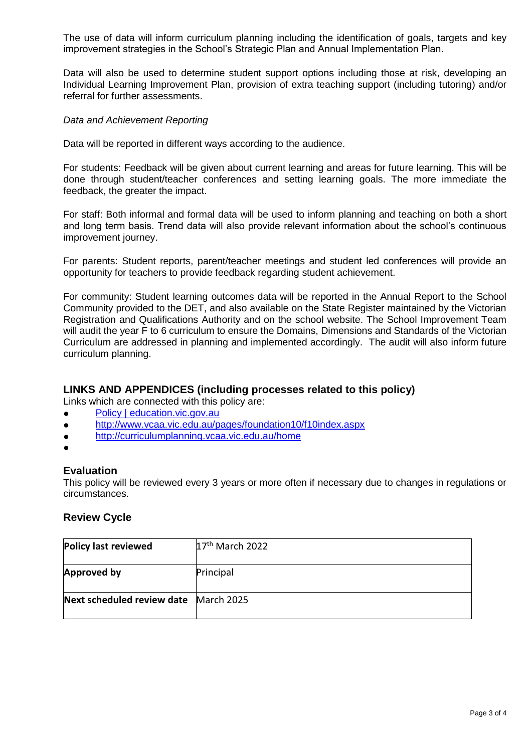The use of data will inform curriculum planning including the identification of goals, targets and key improvement strategies in the School's Strategic Plan and Annual Implementation Plan.

Data will also be used to determine student support options including those at risk, developing an Individual Learning Improvement Plan, provision of extra teaching support (including tutoring) and/or referral for further assessments.

# *Data and Achievement Reporting*

Data will be reported in different ways according to the audience.

For students: Feedback will be given about current learning and areas for future learning. This will be done through student/teacher conferences and setting learning goals. The more immediate the feedback, the greater the impact.

For staff: Both informal and formal data will be used to inform planning and teaching on both a short and long term basis. Trend data will also provide relevant information about the school's continuous improvement journey.

For parents: Student reports, parent/teacher meetings and student led conferences will provide an opportunity for teachers to provide feedback regarding student achievement.

For community: Student learning outcomes data will be reported in the Annual Report to the School Community provided to the DET, and also available on the State Register maintained by the Victorian Registration and Qualifications Authority and on the school website. The School Improvement Team will audit the year F to 6 curriculum to ensure the Domains, Dimensions and Standards of the Victorian Curriculum are addressed in planning and implemented accordingly. The audit will also inform future curriculum planning.

# **LINKS AND APPENDICES (including processes related to this policy)**

Links which are connected with this policy are:

- [Policy | education.vic.gov.au](https://www2.education.vic.gov.au/pal/curriculum-programs/policy)
- <http://www.vcaa.vic.edu.au/pages/foundation10/f10index.aspx>
- <http://curriculumplanning.vcaa.vic.edu.au/home>
- ●

# **Evaluation**

This policy will be reviewed every 3 years or more often if necessary due to changes in regulations or circumstances.

# **Review Cycle**

| Policy last reviewed       | $17th$ March 2022 |
|----------------------------|-------------------|
| <b>Approved by</b>         | Principal         |
| Next scheduled review date | March 2025        |